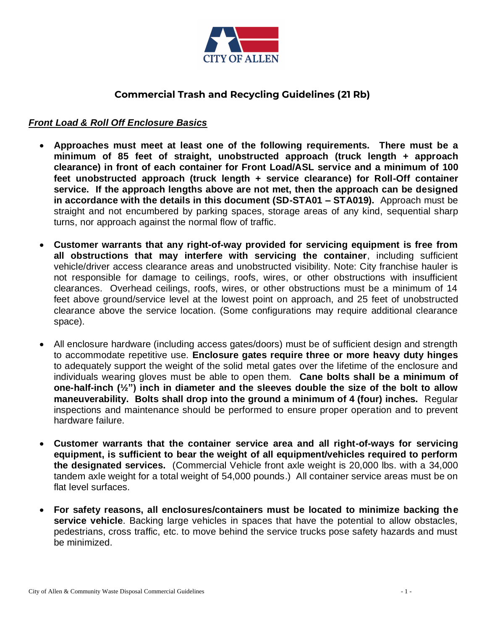

# **Commercial Trash and Recycling Guidelines (21 Rb)**

#### *Front Load & Roll Off Enclosure Basics*

- **Approaches must meet at least one of the following requirements. There must be a minimum of 85 feet of straight, unobstructed approach (truck length + approach clearance) in front of each container for Front Load/ASL service and a minimum of 100 feet unobstructed approach (truck length + service clearance) for Roll-Off container service. If the approach lengths above are not met, then the approach can be designed in accordance with the details in this document (SD-STA01 – STA019).** Approach must be straight and not encumbered by parking spaces, storage areas of any kind, sequential sharp turns, nor approach against the normal flow of traffic.
- **Customer warrants that any right-of-way provided for servicing equipment is free from all obstructions that may interfere with servicing the container**, including sufficient vehicle/driver access clearance areas and unobstructed visibility. Note: City franchise hauler is not responsible for damage to ceilings, roofs, wires, or other obstructions with insufficient clearances. Overhead ceilings, roofs, wires, or other obstructions must be a minimum of 14 feet above ground/service level at the lowest point on approach, and 25 feet of unobstructed clearance above the service location. (Some configurations may require additional clearance space).
- All enclosure hardware (including access gates/doors) must be of sufficient design and strength to accommodate repetitive use. **Enclosure gates require three or more heavy duty hinges** to adequately support the weight of the solid metal gates over the lifetime of the enclosure and individuals wearing gloves must be able to open them. **Cane bolts shall be a minimum of one-half-inch (½") inch in diameter and the sleeves double the size of the bolt to allow maneuverability. Bolts shall drop into the ground a minimum of 4 (four) inches.** Regular inspections and maintenance should be performed to ensure proper operation and to prevent hardware failure.
- **Customer warrants that the container service area and all right-of-ways for servicing equipment, is sufficient to bear the weight of all equipment/vehicles required to perform the designated services.** (Commercial Vehicle front axle weight is 20,000 lbs. with a 34,000 tandem axle weight for a total weight of 54,000 pounds.) All container service areas must be on flat level surfaces.
- **For safety reasons, all enclosures/containers must be located to minimize backing the service vehicle**. Backing large vehicles in spaces that have the potential to allow obstacles, pedestrians, cross traffic, etc. to move behind the service trucks pose safety hazards and must be minimized.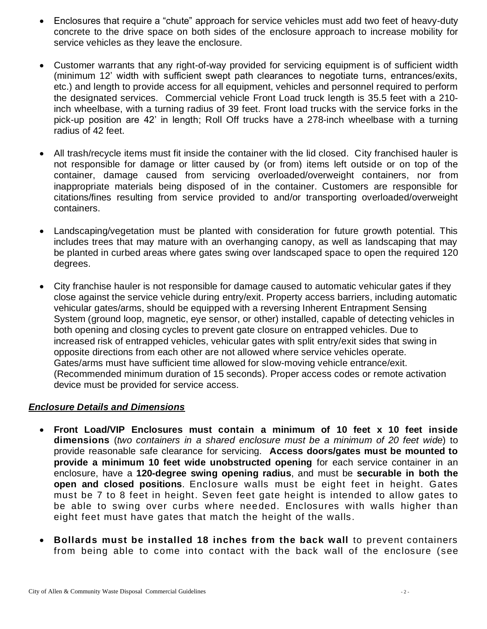- Enclosures that require a "chute" approach for service vehicles must add two feet of heavy-duty concrete to the drive space on both sides of the enclosure approach to increase mobility for service vehicles as they leave the enclosure.
- Customer warrants that any right-of-way provided for servicing equipment is of sufficient width (minimum 12' width with sufficient swept path clearances to negotiate turns, entrances/exits, etc.) and length to provide access for all equipment, vehicles and personnel required to perform the designated services. Commercial vehicle Front Load truck length is 35.5 feet with a 210 inch wheelbase, with a turning radius of 39 feet. Front load trucks with the service forks in the pick-up position are 42' in length; Roll Off trucks have a 278-inch wheelbase with a turning radius of 42 feet.
- All trash/recycle items must fit inside the container with the lid closed. City franchised hauler is not responsible for damage or litter caused by (or from) items left outside or on top of the container, damage caused from servicing overloaded/overweight containers, nor from inappropriate materials being disposed of in the container. Customers are responsible for citations/fines resulting from service provided to and/or transporting overloaded/overweight containers.
- Landscaping/vegetation must be planted with consideration for future growth potential. This includes trees that may mature with an overhanging canopy, as well as landscaping that may be planted in curbed areas where gates swing over landscaped space to open the required 120 degrees.
- City franchise hauler is not responsible for damage caused to automatic vehicular gates if they close against the service vehicle during entry/exit. Property access barriers, including automatic vehicular gates/arms, should be equipped with a reversing Inherent Entrapment Sensing System (ground loop, magnetic, eye sensor, or other) installed, capable of detecting vehicles in both opening and closing cycles to prevent gate closure on entrapped vehicles. Due to increased risk of entrapped vehicles, vehicular gates with split entry/exit sides that swing in opposite directions from each other are not allowed where service vehicles operate. Gates/arms must have sufficient time allowed for slow-moving vehicle entrance/exit. (Recommended minimum duration of 15 seconds). Proper access codes or remote activation device must be provided for service access.

### *Enclosure Details and Dimensions*

- **Front Load/VIP Enclosures must contain a minimum of 10 feet x 10 feet inside dimensions** (*two containers in a shared enclosure must be a minimum of 20 feet wide*) to provide reasonable safe clearance for servicing. **Access doors/gates must be mounted to provide a minimum 10 feet wide unobstructed opening** for each service container in an enclosure, have a **120-degree swing opening radius**, and must be **securable in both the open and closed positions**. Enclosure walls must be eight feet in height. Gates must be 7 to 8 feet in height. Seven feet gate height is intended to allow gates to be able to swing over curbs where needed. Enclosures with walls higher than eight feet must have gates that match the height of the walls.
- **Bollards must be installed 18 inches from the back wall** to prevent containers from being able to come into contact with the back wall of the enclosure (see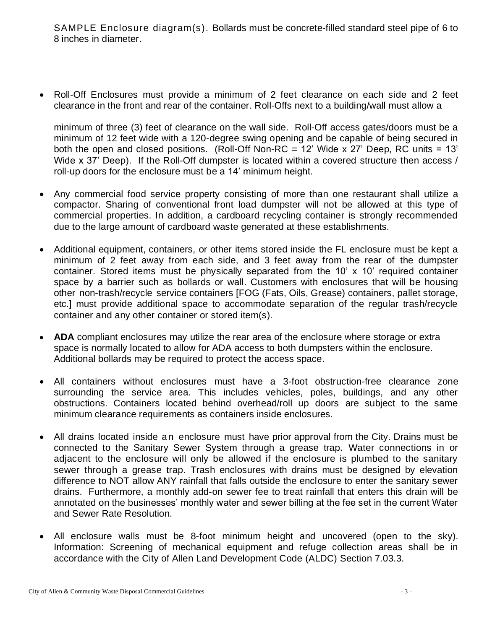SAMPLE Enclosure diagram(s). Bollards must be concrete-filled standard steel pipe of 6 to 8 inches in diameter.

• Roll-Off Enclosures must provide a minimum of 2 feet clearance on each side and 2 feet clearance in the front and rear of the container. Roll-Offs next to a building/wall must allow a

minimum of three (3) feet of clearance on the wall side. Roll-Off access gates/doors must be a minimum of 12 feet wide with a 120-degree swing opening and be capable of being secured in both the open and closed positions. (Roll-Off Non-RC = 12' Wide x 27' Deep, RC units = 13' Wide x 37' Deep). If the Roll-Off dumpster is located within a covered structure then access / roll-up doors for the enclosure must be a 14' minimum height.

- Any commercial food service property consisting of more than one restaurant shall utilize a compactor. Sharing of conventional front load dumpster will not be allowed at this type of commercial properties. In addition, a cardboard recycling container is strongly recommended due to the large amount of cardboard waste generated at these establishments.
- Additional equipment, containers, or other items stored inside the FL enclosure must be kept a minimum of 2 feet away from each side, and 3 feet away from the rear of the dumpster container. Stored items must be physically separated from the 10' x 10' required container space by a barrier such as bollards or wall. Customers with enclosures that will be housing other non-trash/recycle service containers [FOG (Fats, Oils, Grease) containers, pallet storage, etc.] must provide additional space to accommodate separation of the regular trash/recycle container and any other container or stored item(s).
- **ADA** compliant enclosures may utilize the rear area of the enclosure where storage or extra space is normally located to allow for ADA access to both dumpsters within the enclosure. Additional bollards may be required to protect the access space.
- All containers without enclosures must have a 3-foot obstruction-free clearance zone surrounding the service area. This includes vehicles, poles, buildings, and any other obstructions. Containers located behind overhead/roll up doors are subject to the same minimum clearance requirements as containers inside enclosures.
- All drains located inside an enclosure must have prior approval from the City. Drains must be connected to the Sanitary Sewer System through a grease trap. Water connections in or adjacent to the enclosure will only be allowed if the enclosure is plumbed to the sanitary sewer through a grease trap. Trash enclosures with drains must be designed by elevation difference to NOT allow ANY rainfall that falls outside the enclosure to enter the sanitary sewer drains. Furthermore, a monthly add-on sewer fee to treat rainfall that enters this drain will be annotated on the businesses' monthly water and sewer billing at the fee set in the current Water and Sewer Rate Resolution.
- All enclosure walls must be 8-foot minimum height and uncovered (open to the sky). Information: Screening of mechanical equipment and refuge collection areas shall be in accordance with the City of Allen Land Development Code (ALDC) Section 7.03.3.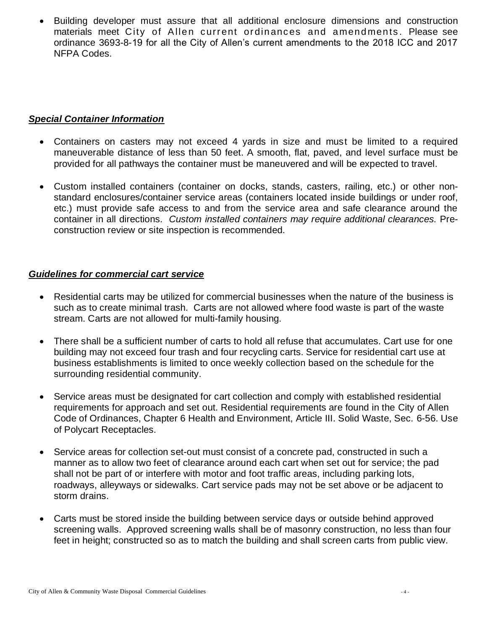• Building developer must assure that all additional enclosure dimensions and construction materials meet City of Allen current ordinances and amendments. Please see ordinance 3693-8-19 for all the City of Allen's current amendments to the 2018 ICC and 2017 NFPA Codes.

### *Special Container Information*

- Containers on casters may not exceed 4 yards in size and must be limited to a required maneuverable distance of less than 50 feet. A smooth, flat, paved, and level surface must be provided for all pathways the container must be maneuvered and will be expected to travel.
- Custom installed containers (container on docks, stands, casters, railing, etc.) or other nonstandard enclosures/container service areas (containers located inside buildings or under roof, etc.) must provide safe access to and from the service area and safe clearance around the container in all directions. *Custom installed containers may require additional clearances.* Preconstruction review or site inspection is recommended.

## *Guidelines for commercial cart service*

- Residential carts may be utilized for commercial businesses when the nature of the business is such as to create minimal trash. Carts are not allowed where food waste is part of the waste stream. Carts are not allowed for multi-family housing.
- There shall be a sufficient number of carts to hold all refuse that accumulates. Cart use for one building may not exceed four trash and four recycling carts. Service for residential cart use at business establishments is limited to once weekly collection based on the schedule for the surrounding residential community.
- Service areas must be designated for cart collection and comply with established residential requirements for approach and set out. Residential requirements are found in the City of Allen Code of Ordinances, Chapter 6 Health and Environment, Article III. Solid Waste, Sec. 6-56. Use of Polycart Receptacles.
- Service areas for collection set-out must consist of a concrete pad, constructed in such a manner as to allow two feet of clearance around each cart when set out for service; the pad shall not be part of or interfere with motor and foot traffic areas, including parking lots, roadways, alleyways or sidewalks. Cart service pads may not be set above or be adjacent to storm drains.
- Carts must be stored inside the building between service days or outside behind approved screening walls. Approved screening walls shall be of masonry construction, no less than four feet in height; constructed so as to match the building and shall screen carts from public view.